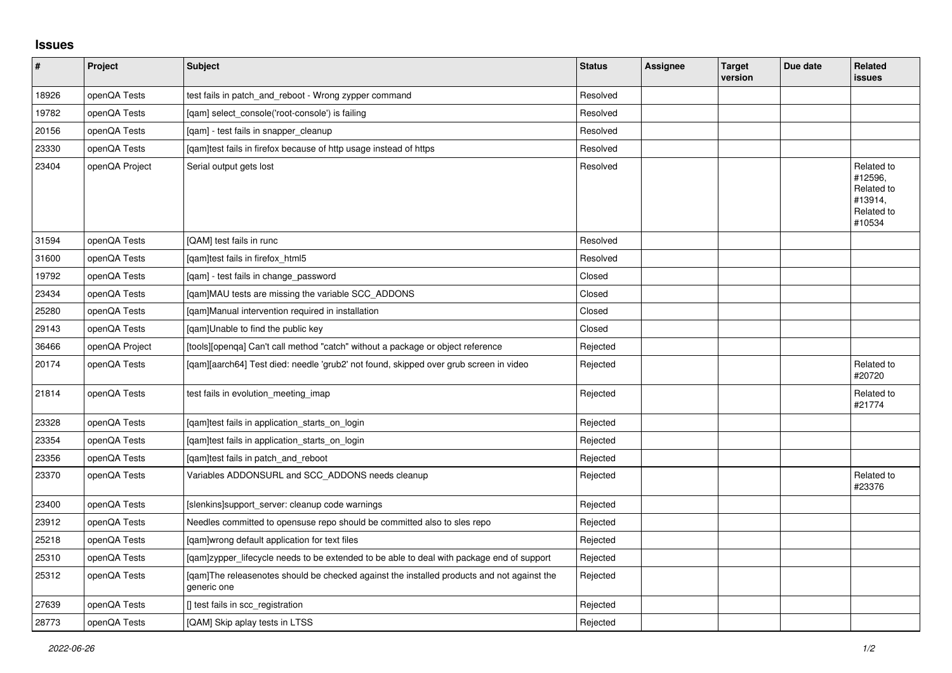## **Issues**

| $\vert$ # | Project        | <b>Subject</b>                                                                                            | <b>Status</b> | <b>Assignee</b> | <b>Target</b><br>version | Due date | Related<br><b>issues</b>                                               |
|-----------|----------------|-----------------------------------------------------------------------------------------------------------|---------------|-----------------|--------------------------|----------|------------------------------------------------------------------------|
| 18926     | openQA Tests   | test fails in patch_and_reboot - Wrong zypper command                                                     | Resolved      |                 |                          |          |                                                                        |
| 19782     | openQA Tests   | [qam] select_console('root-console') is failing                                                           | Resolved      |                 |                          |          |                                                                        |
| 20156     | openQA Tests   | [gam] - test fails in snapper cleanup                                                                     | Resolved      |                 |                          |          |                                                                        |
| 23330     | openQA Tests   | [qam]test fails in firefox because of http usage instead of https                                         | Resolved      |                 |                          |          |                                                                        |
| 23404     | openQA Project | Serial output gets lost                                                                                   | Resolved      |                 |                          |          | Related to<br>#12596.<br>Related to<br>#13914.<br>Related to<br>#10534 |
| 31594     | openQA Tests   | [QAM] test fails in runc                                                                                  | Resolved      |                 |                          |          |                                                                        |
| 31600     | openQA Tests   | [qam]test fails in firefox_html5                                                                          | Resolved      |                 |                          |          |                                                                        |
| 19792     | openQA Tests   | [gam] - test fails in change password                                                                     | Closed        |                 |                          |          |                                                                        |
| 23434     | openQA Tests   | [qam]MAU tests are missing the variable SCC_ADDONS                                                        | Closed        |                 |                          |          |                                                                        |
| 25280     | openQA Tests   | [qam]Manual intervention required in installation                                                         | Closed        |                 |                          |          |                                                                        |
| 29143     | openQA Tests   | [gam]Unable to find the public key                                                                        | Closed        |                 |                          |          |                                                                        |
| 36466     | openQA Project | [tools][openqa] Can't call method "catch" without a package or object reference                           | Rejected      |                 |                          |          |                                                                        |
| 20174     | openQA Tests   | [qam][aarch64] Test died: needle 'grub2' not found, skipped over grub screen in video                     | Rejected      |                 |                          |          | Related to<br>#20720                                                   |
| 21814     | openQA Tests   | test fails in evolution_meeting_imap                                                                      | Rejected      |                 |                          |          | Related to<br>#21774                                                   |
| 23328     | openQA Tests   | [gam]test fails in application_starts_on_login                                                            | Rejected      |                 |                          |          |                                                                        |
| 23354     | openQA Tests   | [qam]test fails in application_starts_on_login                                                            | Rejected      |                 |                          |          |                                                                        |
| 23356     | openQA Tests   | [gam]test fails in patch and reboot                                                                       | Rejected      |                 |                          |          |                                                                        |
| 23370     | openQA Tests   | Variables ADDONSURL and SCC_ADDONS needs cleanup                                                          | Rejected      |                 |                          |          | Related to<br>#23376                                                   |
| 23400     | openQA Tests   | [slenkins]support server: cleanup code warnings                                                           | Rejected      |                 |                          |          |                                                                        |
| 23912     | openQA Tests   | Needles committed to opensuse repo should be committed also to sles repo                                  | Rejected      |                 |                          |          |                                                                        |
| 25218     | openQA Tests   | [qam]wrong default application for text files                                                             | Rejected      |                 |                          |          |                                                                        |
| 25310     | openQA Tests   | [gam]zypper lifecycle needs to be extended to be able to deal with package end of support                 | Rejected      |                 |                          |          |                                                                        |
| 25312     | openQA Tests   | [gam]The releasenotes should be checked against the installed products and not against the<br>generic one | Rejected      |                 |                          |          |                                                                        |
| 27639     | openQA Tests   | [] test fails in scc_registration                                                                         | Rejected      |                 |                          |          |                                                                        |
| 28773     | openQA Tests   | [QAM] Skip aplay tests in LTSS                                                                            | Rejected      |                 |                          |          |                                                                        |